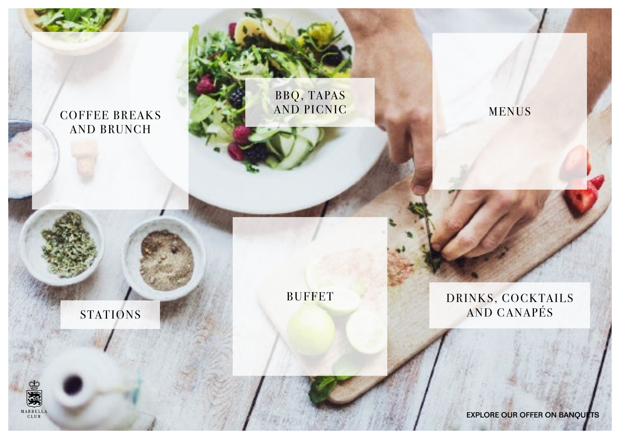<span id="page-0-0"></span>

[BBQ, TAPAS](#page-4-0) [AND PICNIC](#page-4-0)

[BUFFET](#page-8-0)

[MENUS](#page-10-0)

[DRINKS, COCKTAILS](#page-14-0) [STATIONS](#page-3-0) AND CANAPÉS

EXPLORE OUR OFFER ON BANQUETS

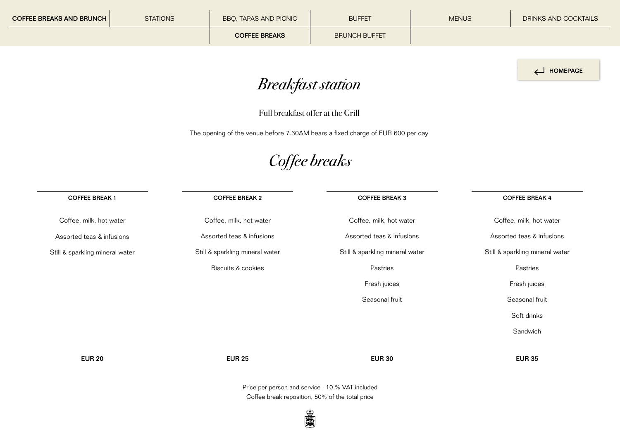HOMEPAGE

*Breakfast station*

Full breakfast offer at the Grill

The opening of the venue before 7.30AM bears a fixed charge of EUR 600 per day

*Coffee breaks*

 $\overline{\phantom{0}}$ 

<span id="page-1-0"></span>

| <b>COFFEE BREAK 1</b>           | <b>COFFEE BREAK 2</b>           | <b>COFFEE BREAK 3</b>                                                                                                                                                                                                             | <b>COFFEE BREAK 4</b>           |
|---------------------------------|---------------------------------|-----------------------------------------------------------------------------------------------------------------------------------------------------------------------------------------------------------------------------------|---------------------------------|
| Coffee, milk, hot water         | Coffee, milk, hot water         | Coffee, milk, hot water                                                                                                                                                                                                           | Coffee, milk, hot water         |
| Assorted teas & infusions       | Assorted teas & infusions       | Assorted teas & infusions                                                                                                                                                                                                         | Assorted teas & infusions       |
| Still & sparkling mineral water | Still & sparkling mineral water | Still & sparkling mineral water                                                                                                                                                                                                   | Still & sparkling mineral water |
|                                 | Biscuits & cookies              | Pastries                                                                                                                                                                                                                          | Pastries                        |
|                                 |                                 | Fresh juices                                                                                                                                                                                                                      | Fresh juices                    |
|                                 |                                 | Seasonal fruit                                                                                                                                                                                                                    | Seasonal fruit                  |
|                                 |                                 |                                                                                                                                                                                                                                   | Soft drinks                     |
|                                 |                                 |                                                                                                                                                                                                                                   | Sandwich                        |
|                                 |                                 |                                                                                                                                                                                                                                   |                                 |
| <b>EUR 20</b>                   | <b>EUR 25</b>                   | <b>EUR 30</b>                                                                                                                                                                                                                     | <b>EUR 35</b>                   |
|                                 |                                 | $\mathbb{R}$ . The set of the set of the set of the set of the set of the set of the set of the set of the set of the set of the set of the set of the set of the set of the set of the set of the set of the set of the set of t |                                 |

Price per person and service · 10 % VAT included Coffee break reposition, 50% of the total price

実践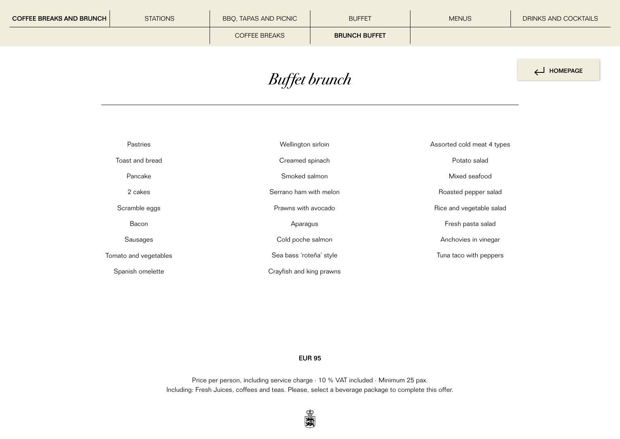<span id="page-2-0"></span>

| <b>COFFEE BREAKS AND BRUNCH</b> | <b>STATIONS</b> | BBQ, TAPAS AND PICNIC | <b>BUFFET</b>        | <b>MENUS</b> | DRINKS AND COCKTAILS |
|---------------------------------|-----------------|-----------------------|----------------------|--------------|----------------------|
|                                 |                 | <b>COFFEE BREAKS</b>  | <b>BRUNCH BUFFET</b> |              |                      |
|                                 |                 |                       |                      |              |                      |

## *Buffet brunch*

| HOMEPAGE |
|----------|
|          |

| Pastries              | Wellington sirloin       | Assorted cold meat 4 types |
|-----------------------|--------------------------|----------------------------|
| Toast and bread       | Creamed spinach          | Potato salad               |
| Pancake               | Smoked salmon            | Mixed seafood              |
| 2 cakes               | Serrano ham with melon   | Roasted pepper salad       |
| Scramble eggs         | Prawns with avocado      | Rice and vegetable salad   |
| Bacon                 | Aparagus                 | Fresh pasta salad          |
| Sausages              | Cold poche salmon        | Anchovies in vinegar       |
| Tomato and vegetables | Sea bass 'roteña' style  | Tuna taco with peppers     |
| Spanish omelette      | Crayfish and king prawns |                            |

#### EUR 95

Price per person, including service charge  $\cdot$  10 % VAT included  $\cdot$  Minimum 25 pax. Including: Fresh Juices, coffees and teas. Please, select a beverage package to complete this offer.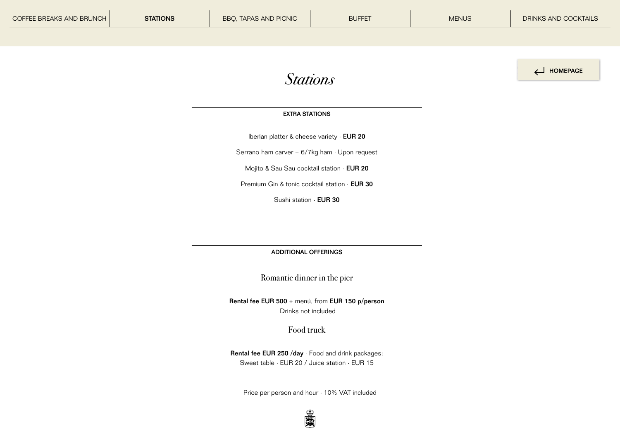

#### EXTRA STATIONS

Iberian platter & cheese variety · EUR 20

<span id="page-3-0"></span>Serrano ham carver  $+ 6/7$ kg ham  $\cdot$  Upon request

Mojito & Sau Sau cocktail station · EUR 20

Premium Gin & tonic cocktail station · EUR 30

Sushi station · EUR 30

ADDITIONAL OFFERINGS

Romantic dinner in the pier

Rental fee EUR 500 + menú, from EUR 150 p/person Drinks not included

Food truck

Rental fee EUR 250 /day · Food and drink packages: Sweet table · EUR 20 / Juice station · EUR 15

Price per person and hour · 10% VAT included

編み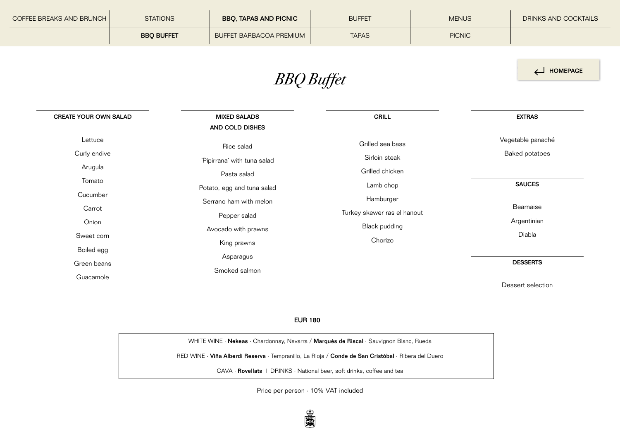<span id="page-4-0"></span>

| COFFEE BREAKS AND BRUNCH | <b>STATIONS</b>   | <b>BBO, TAPAS AND PICNIC</b> | <b>BUFFET</b> | <b>MENUS</b>  | DRINKS AND COCKTAILS |
|--------------------------|-------------------|------------------------------|---------------|---------------|----------------------|
|                          | <b>BBO BUFFET</b> | BUFFET BARBACOA PREMIUM      | <b>TAPAS</b>  | <b>PICNIC</b> |                      |

HOMEPAGE

*BBQ Buffet*

| <b>CREATE YOUR OWN SALAD</b> | <b>MIXED SALADS</b>         | <b>GRILL</b>                | <b>EXTRAS</b>         |
|------------------------------|-----------------------------|-----------------------------|-----------------------|
|                              | AND COLD DISHES             |                             |                       |
| Lettuce                      | Rice salad                  | Grilled sea bass            | Vegetable panaché     |
| Curly endive                 | 'Pipirrana' with tuna salad | Sirloin steak               | <b>Baked potatoes</b> |
| Arugula                      | Pasta salad                 | Grilled chicken             |                       |
| Tomato                       | Potato, egg and tuna salad  | Lamb chop                   | <b>SAUCES</b>         |
| Cucumber                     | Serrano ham with melon      | Hamburger                   |                       |
| Carrot                       | Pepper salad                | Turkey skewer ras el hanout | Bearnaise             |
| Onion                        | Avocado with prawns         | <b>Black pudding</b>        | Argentinian           |
| Sweet corn                   | King prawns                 | Chorizo                     | Diabla                |
| Boiled egg                   | Asparagus                   |                             |                       |
| Green beans                  | Smoked salmon               |                             | <b>DESSERTS</b>       |
| Guacamole                    |                             |                             | Dessert selection     |

EUR 180

WHITE WINE · Nekeas · Chardonnay, Navarra / Marqués de Riscal · Sauvignon Blanc, Rueda

RED WINE · Viña Alberdi Reserva · Tempranillo, La Rioja / Conde de San Cristóbal · Ribera del Duero

CAVA · Rovellats | DRINKS · National beer, soft drinks, coffee and tea

Price per person · 10% VAT included

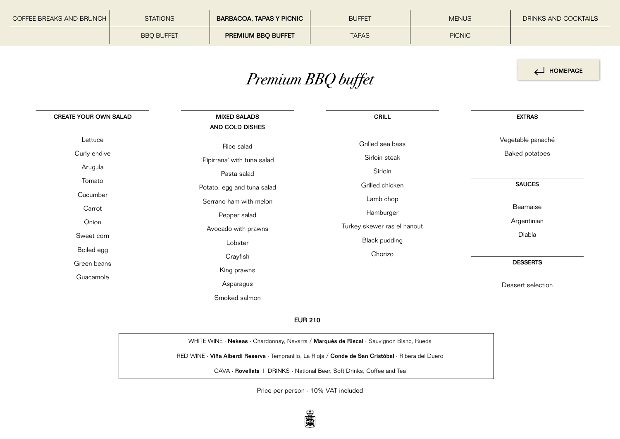<span id="page-5-0"></span>

| COFFEE BREAKS AND BRUNCH | <b>STATIONS</b>   | <b>BARBACOA, TAPAS Y PICNIC</b> | <b>BUFFET</b> | <b>MENUS</b>  | DRINKS AND COCKTAILS |
|--------------------------|-------------------|---------------------------------|---------------|---------------|----------------------|
|                          | <b>BBO BUFFET</b> | <b>PREMIUM BBO BUFFET</b>       | <b>TAPAS</b>  | <b>PICNIC</b> |                      |

## *Premium BBQ buffet*

HOMEPAGE

| <b>CREATE YOUR OWN SALAD</b> | <b>MIXED SALADS</b>         | <b>GRILL</b>                | <b>EXTRAS</b>     |
|------------------------------|-----------------------------|-----------------------------|-------------------|
|                              | AND COLD DISHES             |                             |                   |
| Lettuce                      | Rice salad                  | Grilled sea bass            | Vegetable panaché |
| Curly endive                 | 'Pipirrana' with tuna salad | Sirloin steak               | Baked potatoes    |
| Arugula                      | Pasta salad                 | Sirloin                     |                   |
| Tomato                       | Potato, egg and tuna salad  | Grilled chicken             | <b>SAUCES</b>     |
| Cucumber                     | Serrano ham with melon      | Lamb chop                   |                   |
| Carrot                       | Pepper salad                | Hamburger                   | Bearnaise         |
| Onion                        | Avocado with prawns         | Turkey skewer ras el hanout | Argentinian       |
| Sweet corn                   | Lobster                     | <b>Black pudding</b>        | Diabla            |
| Boiled egg                   | Crayfish                    | Chorizo                     |                   |
| Green beans                  | King prawns                 |                             | <b>DESSERTS</b>   |
| Guacamole                    | Asparagus                   |                             | Dessert selection |
|                              | Smoked salmon               |                             |                   |

### EUR 210

WHITE WINE · Nekeas · Chardonnay, Navarra / Marqués de Riscal · Sauvignon Blanc, Rueda RED WINE · Viña Alberdi Reserva · Tempranillo, La Rioja / Conde de San Cristóbal · Ribera del Duero CAVA · Rovellats | DRINKS · National Beer, Soft Drinks, Coffee and Tea

Price per person · 10% VAT included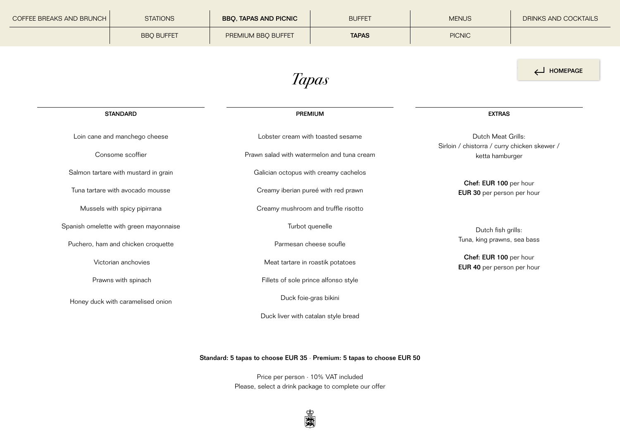<span id="page-6-0"></span>

| COFFEE BREAKS AND BRUNCH             | <b>STATIONS</b>                        | <b>BBQ, TAPAS AND PICNIC</b>          | <b>BUFFET</b>                                                                                           | <b>MENUS</b>                                         | <b>DRINKS AND COCKTAILS</b> |
|--------------------------------------|----------------------------------------|---------------------------------------|---------------------------------------------------------------------------------------------------------|------------------------------------------------------|-----------------------------|
|                                      | <b>BBQ BUFFET</b>                      | PREMIUM BBQ BUFFET                    | <b>TAPAS</b>                                                                                            | <b>PICNIC</b>                                        |                             |
|                                      |                                        |                                       |                                                                                                         |                                                      | HOMEPAGE                    |
|                                      |                                        |                                       | Tapas                                                                                                   |                                                      |                             |
|                                      | <b>STANDARD</b>                        |                                       | PREMIUM                                                                                                 | <b>EXTRAS</b>                                        |                             |
| Loin cane and manchego cheese        |                                        |                                       | Dutch Meat Grills:<br>Lobster cream with toasted sesame<br>Sirloin / chistorra / curry chicken skewer / |                                                      |                             |
|                                      | Consome scoffier                       |                                       | Prawn salad with watermelon and tuna cream                                                              |                                                      | ketta hamburger             |
| Salmon tartare with mustard in grain |                                        | Galician octopus with creamy cachelos |                                                                                                         | Chef: EUR 100 per hour<br>EUR 30 per person per hour |                             |
| Tuna tartare with avocado mousse     |                                        | Creamy iberian pureé with red prawn   |                                                                                                         |                                                      |                             |
|                                      | Mussels with spicy pipirrana           |                                       | Creamy mushroom and truffle risotto                                                                     |                                                      |                             |
|                                      | Spanish omelette with green mayonnaise |                                       | Turbot quenelle                                                                                         | Dutch fish grills:                                   |                             |
| Puchero, ham and chicken croquette   |                                        | Parmesan cheese soufle                |                                                                                                         | Tuna, king prawns, sea bass                          |                             |
|                                      | Victorian anchovies                    |                                       | Meat tartare in roastik potatoes                                                                        | Chef: EUR 100 per hour<br>EUR 40 per person per hour |                             |
|                                      | Prawns with spinach                    |                                       | Fillets of sole prince alfonso style                                                                    |                                                      |                             |
|                                      | Honey duck with caramelised onion      |                                       | Duck foie-gras bikini                                                                                   |                                                      |                             |
|                                      |                                        |                                       | Duck liver with catalan style bread                                                                     |                                                      |                             |

 $\overline{\phantom{0}}$ 

## Standard: 5 tapas to choose EUR 35 · Premium: 5 tapas to choose EUR 50

Price per person · 10% VAT included Please, select a drink package to complete our offer

题图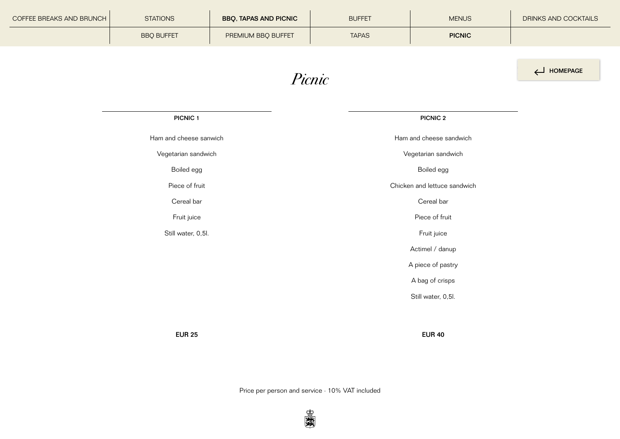<span id="page-7-0"></span>

| <b>COFFEE BREAKS AND BRUNCH</b> | <b>STATIONS</b>     | <b>BBQ, TAPAS AND PICNIC</b> | <b>BUFFET</b> | <b>MENUS</b>            | DRINKS AND COCKTAILS |
|---------------------------------|---------------------|------------------------------|---------------|-------------------------|----------------------|
|                                 | <b>BBQ BUFFET</b>   | PREMIUM BBQ BUFFET           | <b>TAPAS</b>  | <b>PICNIC</b>           |                      |
|                                 |                     |                              |               |                         |                      |
| Picnic                          |                     |                              |               |                         | HOMEPAGE             |
|                                 |                     |                              |               |                         |                      |
|                                 |                     |                              |               |                         |                      |
|                                 | PICNIC <sub>1</sub> |                              |               | <b>PICNIC 2</b>         |                      |
| Ham and cheese sanwich          |                     |                              |               | Ham and cheese sandwich |                      |

Vegetarian sandwich

Boiled egg

Piece of fruit

Cereal bar

Fruit juice

Still water, 0,5l.

Vegetarian sandwich

Boiled egg

Chicken and lettuce sandwich

Cereal bar

Piece of fruit

Fruit juice

Actimel / danup

A piece of pastry

A bag of crisps

Still water, 0,5l.

EUR 25 EUR 40

Price per person and service · 10% VAT included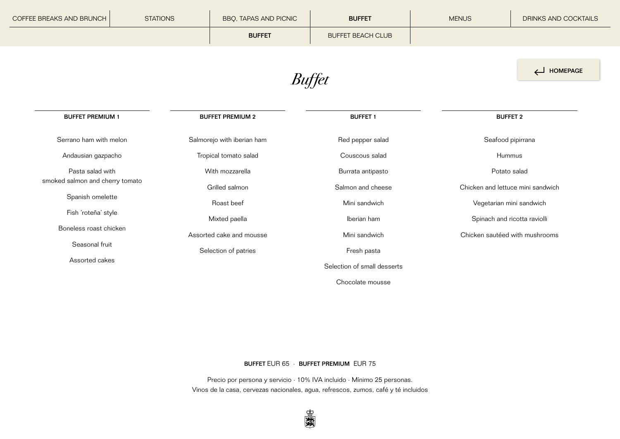<span id="page-8-0"></span>

| COFFEE BREAKS AND BRUNCH | <b>STATIONS</b> | BBQ, TAPAS AND PICNIC      | <b>BUFFET</b>            | <b>MENUS</b>      | DRINKS AND COCKTAILS |
|--------------------------|-----------------|----------------------------|--------------------------|-------------------|----------------------|
|                          |                 | <b>BUFFET</b>              | <b>BUFFET BEACH CLUB</b> |                   |                      |
| HOMEPAGE<br>Buffet       |                 |                            |                          |                   |                      |
| <b>BUFFET PREMIUM 1</b>  |                 | <b>BUFFET PREMIUM 2</b>    | <b>BUFFET 1</b>          | <b>BUFFET 2</b>   |                      |
| Serrano ham with melon   |                 | Salmorejo with iberian ham | Red pepper salad         | Seafood pipirrana |                      |
| Andausian gazpacho       |                 | Tropical tomato salad      | Couscous salad           | Hummus            |                      |

Pasta salad with smoked salmon and cherry tomato

Spanish omelette

Fish ´roteña´ style

Boneless roast chicken

Seasonal fruit

Assorted cakes

With mozzarella Grilled salmon Roast beef Mixted paella Assorted cake and mousse Selection of patries

Burrata antipasto Salmon and cheese Mini sandwich Iberian ham Mini sandwich Fresh pasta Selection of small desserts Chocolate mousse

Potato salad

Chicken and lettuce mini sandwich

Vegetarian mini sandwich

Spinach and ricotta raviolli

Chicken sautéed with mushrooms

#### BUFFET EUR 65 · BUFFET PREMIUM EUR 75

Precio por persona y servicio · 10% IVA incluido · Mínimo 25 personas. Vinos de la casa, cervezas nacionales, agua, refrescos, zumos, café y té incluidos

新闻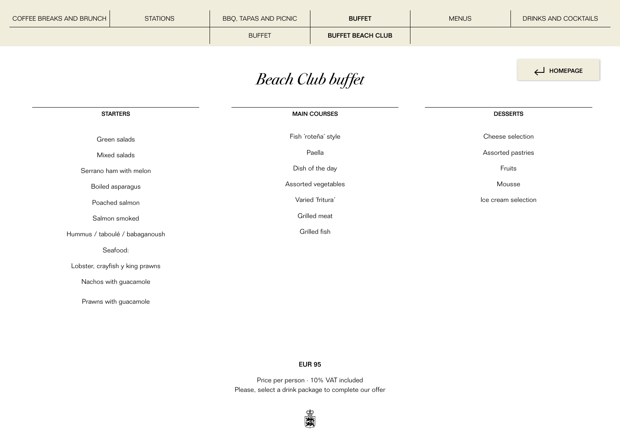<span id="page-9-0"></span>

| COFFEE BREAKS AND BRUNCH | <b>STATIONS</b> | BBQ, TAPAS AND PICNIC | <b>BUFFET</b>            | <b>MENUS</b> | DRINKS AND COCKTAILS |
|--------------------------|-----------------|-----------------------|--------------------------|--------------|----------------------|
|                          |                 | <b>BUFFET</b>         | <b>BUFFET BEACH CLUB</b> |              |                      |

## *Beach Club buffet*

HOMEPAGE

**STARTERS** Green salads Mixed salads Serrano ham with melon Boiled asparagus Poached salmon Salmon smoked Hummus / taboulé / babaganoush Seafood: Lobster, crayfish y king prawns Nachos with guacamole Prawns with guacamole MAIN COURSES Fish ´roteña´ style Paella Dish of the day Assorted vegetables Varied ´fritura´ Grilled meat Grilled fish DESSERTS Cheese selection Assorted pastries Fruits Mousse Ice cream selection

#### EUR 95

Price per person · 10% VAT included Please, select a drink package to complete our offer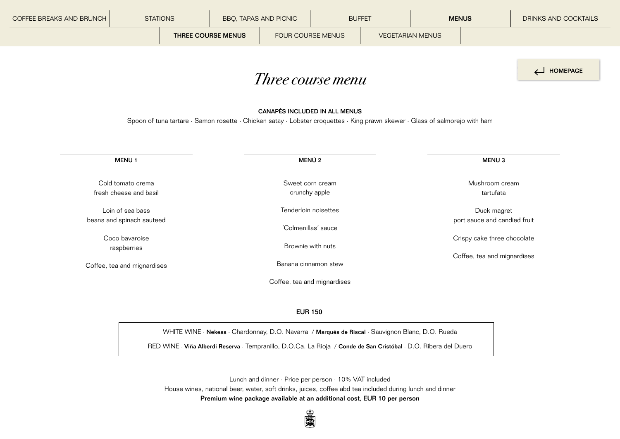<span id="page-10-0"></span>

| COFFEE BREAKS AND BRUNCH | <b>STATIONS</b>                                                                                                                                                      |  | BBQ, TAPAS AND PICNIC   |                      | <b>BUFFET</b> | <b>MENUS</b> |                             | DRINKS AND COCKTAILS |  |  |
|--------------------------|----------------------------------------------------------------------------------------------------------------------------------------------------------------------|--|-------------------------|----------------------|---------------|--------------|-----------------------------|----------------------|--|--|
|                          | FOUR COURSE MENUS<br><b>THREE COURSE MENUS</b>                                                                                                                       |  | <b>VEGETARIAN MENUS</b> |                      |               |              |                             |                      |  |  |
|                          |                                                                                                                                                                      |  |                         |                      |               |              |                             | HOMEPAGE             |  |  |
| <i>Three course menu</i> |                                                                                                                                                                      |  |                         |                      |               |              |                             |                      |  |  |
|                          |                                                                                                                                                                      |  |                         |                      |               |              |                             |                      |  |  |
|                          | <b>CANAPÉS INCLUDED IN ALL MENUS</b><br>Spoon of tuna tartare · Samon rosette · Chicken satay · Lobster croquettes · King prawn skewer · Glass of salmorejo with ham |  |                         |                      |               |              |                             |                      |  |  |
|                          |                                                                                                                                                                      |  |                         |                      |               |              |                             |                      |  |  |
|                          |                                                                                                                                                                      |  |                         |                      |               |              |                             |                      |  |  |
|                          | <b>MENU1</b>                                                                                                                                                         |  |                         | MENÚ <sub>2</sub>    |               |              | <b>MENU3</b>                |                      |  |  |
|                          | Cold tomato crema                                                                                                                                                    |  |                         | Sweet corn cream     |               |              | Mushroom cream              |                      |  |  |
|                          | fresh cheese and basil                                                                                                                                               |  |                         | crunchy apple        |               |              | tartufata                   |                      |  |  |
|                          | Loin of sea bass                                                                                                                                                     |  | Tenderloin noisettes    |                      |               |              | Duck magret                 |                      |  |  |
|                          | port sauce and candied fruit<br>beans and spinach sauteed<br>'Colmenillas' sauce                                                                                     |  |                         |                      |               |              |                             |                      |  |  |
|                          | Coco bavaroise                                                                                                                                                       |  |                         |                      |               |              | Crispy cake three chocolate |                      |  |  |
|                          | raspberries                                                                                                                                                          |  |                         | Brownie with nuts    |               |              | Coffee, tea and mignardises |                      |  |  |
|                          | Coffee, tea and mignardises                                                                                                                                          |  |                         | Banana cinnamon stew |               |              |                             |                      |  |  |

#### EUR 150

Coffee, tea and mignardises

WHITE WINE · Nekeas · Chardonnay, D.O. Navarra / Marqués de Riscal · Sauvignon Blanc, D.O. Rueda

RED WINE · Viña Alberdi Reserva · Tempranillo, D.O.Ca. La Rioja / Conde de San Cristóbal · D.O. Ribera del Duero

Lunch and dinner · Price per person · 10% VAT included House wines, national beer, water, soft drinks, juices, coffee abd tea included during lunch and dinner Premium wine package available at an additional cost, EUR 10 per person

题演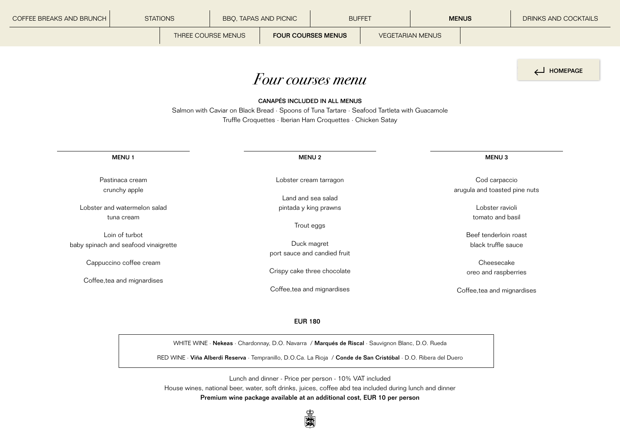<span id="page-11-0"></span>

| COFFEE BREAKS AND BRUNCH | <b>STATIONS</b>                                                                                                  | BBQ, TAPAS AND PICNIC                                                                        |                                                                                              | <b>BUFFET</b> |  | <b>MENUS</b> |                                     | <b>DRINKS AND COCKTAILS</b>   |
|--------------------------|------------------------------------------------------------------------------------------------------------------|----------------------------------------------------------------------------------------------|----------------------------------------------------------------------------------------------|---------------|--|--------------|-------------------------------------|-------------------------------|
|                          | THREE COURSE MENUS<br><b>FOUR COURSES MENUS</b>                                                                  |                                                                                              | <b>VEGETARIAN MENUS</b>                                                                      |               |  |              |                                     |                               |
|                          |                                                                                                                  |                                                                                              |                                                                                              |               |  |              |                                     |                               |
|                          |                                                                                                                  |                                                                                              |                                                                                              |               |  |              |                                     | HOMEPAGE                      |
|                          | Four courses menu                                                                                                |                                                                                              |                                                                                              |               |  |              |                                     |                               |
|                          |                                                                                                                  | Salmon with Caviar on Black Bread · Spoons of Tuna Tartare · Seafood Tartleta with Guacamole | CANAPÉS INCLUDED IN ALL MENUS<br>Truffle Croquettes · Iberian Ham Croquettes · Chicken Satay |               |  |              |                                     |                               |
|                          | MENU <sub>1</sub>                                                                                                |                                                                                              | <b>MENU2</b>                                                                                 |               |  |              | MENU <sub>3</sub>                   |                               |
|                          | Pastinaca cream                                                                                                  |                                                                                              | Lobster cream tarragon                                                                       |               |  |              | Cod carpaccio                       |                               |
|                          | crunchy apple                                                                                                    |                                                                                              | Land and sea salad                                                                           |               |  |              |                                     | arugula and toasted pine nuts |
|                          | Lobster and watermelon salad                                                                                     |                                                                                              | pintada y king prawns                                                                        |               |  |              | Lobster ravioli<br>tomato and basil |                               |
|                          | tuna cream                                                                                                       |                                                                                              | Trout eggs                                                                                   |               |  |              |                                     |                               |
|                          | Loin of turbot                                                                                                   |                                                                                              |                                                                                              |               |  |              | Beef tenderloin roast               |                               |
|                          | baby spinach and seafood vinaigrette                                                                             |                                                                                              | Duck magret<br>port sauce and candied fruit                                                  |               |  |              | black truffle sauce                 |                               |
|                          | Cappuccino coffee cream                                                                                          |                                                                                              |                                                                                              |               |  |              | Cheesecake                          |                               |
|                          |                                                                                                                  |                                                                                              | Crispy cake three chocolate                                                                  |               |  |              | oreo and raspberries                |                               |
|                          | Coffee, tea and mignardises                                                                                      |                                                                                              | Coffee, tea and mignardises                                                                  |               |  |              | Coffee, tea and mignardises         |                               |
|                          |                                                                                                                  |                                                                                              | <b>EUR 180</b>                                                                               |               |  |              |                                     |                               |
|                          | WHITE WINE · Nekeas · Chardonnay, D.O. Navarra / Marqués de Riscal · Sauvignon Blanc, D.O. Rueda                 |                                                                                              |                                                                                              |               |  |              |                                     |                               |
|                          | RED WINE · Viña Alberdi Reserva · Tempranillo, D.O.Ca. La Rioja / Conde de San Cristóbal · D.O. Ribera del Duero |                                                                                              |                                                                                              |               |  |              |                                     |                               |

Lunch and dinner - Price per person - 10% VAT included House wines, national beer, water, soft drinks, juices, coffee abd tea included during lunch and dinner Premium wine package available at an additional cost, EUR 10 per person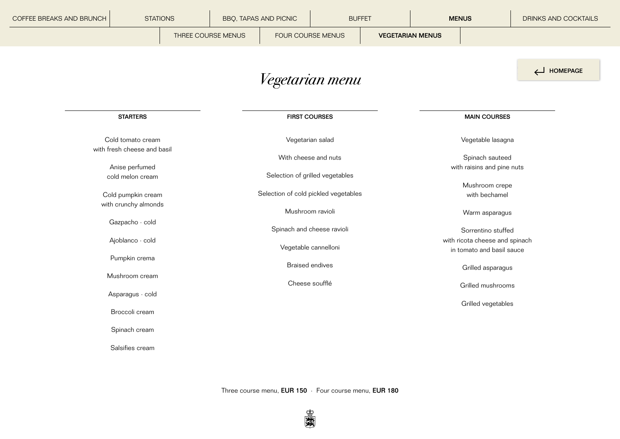<span id="page-12-0"></span>

| COFFEE BREAKS AND BRUNCH | <b>STATIONS</b>                                  |  |                                                                         | <b>BBQ, TAPAS AND PICNIC</b> | <b>BUFFET</b>              |  |                         | <b>MENUS</b>                                                | DRINKS AND COCKTAILS |  |
|--------------------------|--------------------------------------------------|--|-------------------------------------------------------------------------|------------------------------|----------------------------|--|-------------------------|-------------------------------------------------------------|----------------------|--|
|                          |                                                  |  | THREE COURSE MENUS                                                      |                              | FOUR COURSE MENUS          |  | <b>VEGETARIAN MENUS</b> |                                                             |                      |  |
|                          |                                                  |  |                                                                         |                              | Vegetarian menu            |  |                         |                                                             | HOMEPAGE             |  |
|                          | <b>STARTERS</b>                                  |  |                                                                         |                              | <b>FIRST COURSES</b>       |  |                         | <b>MAIN COURSES</b>                                         |                      |  |
|                          | Cold tomato cream<br>with fresh cheese and basil |  |                                                                         |                              | Vegetarian salad           |  |                         | Vegetable lasagna                                           |                      |  |
|                          | Anise perfumed                                   |  |                                                                         |                              | With cheese and nuts       |  |                         | Spinach sauteed<br>with raisins and pine nuts               |                      |  |
|                          | cold melon cream                                 |  | Selection of grilled vegetables<br>Selection of cold pickled vegetables |                              |                            |  | Mushroom crepe          |                                                             |                      |  |
|                          | Cold pumpkin cream<br>with crunchy almonds       |  |                                                                         |                              | Mushroom ravioli           |  |                         | with bechamel<br>Warm asparagus                             |                      |  |
|                          | Gazpacho · cold                                  |  |                                                                         |                              | Spinach and cheese ravioli |  |                         | Sorrentino stuffed                                          |                      |  |
|                          | Ajoblanco · cold                                 |  |                                                                         |                              | Vegetable cannelloni       |  |                         | with ricota cheese and spinach<br>in tomato and basil sauce |                      |  |
|                          | Pumpkin crema<br>Mushroom cream                  |  |                                                                         |                              | <b>Braised endives</b>     |  |                         | Grilled asparagus                                           |                      |  |
|                          | Asparagus · cold                                 |  | Cheese soufflé                                                          |                              |                            |  |                         | Grilled mushrooms                                           |                      |  |
|                          | Broccoli cream                                   |  |                                                                         |                              |                            |  |                         | Grilled vegetables                                          |                      |  |
|                          | Spinach cream                                    |  |                                                                         |                              |                            |  |                         |                                                             |                      |  |
|                          | Salsifies cream                                  |  |                                                                         |                              |                            |  |                         |                                                             |                      |  |
|                          |                                                  |  |                                                                         |                              |                            |  |                         |                                                             |                      |  |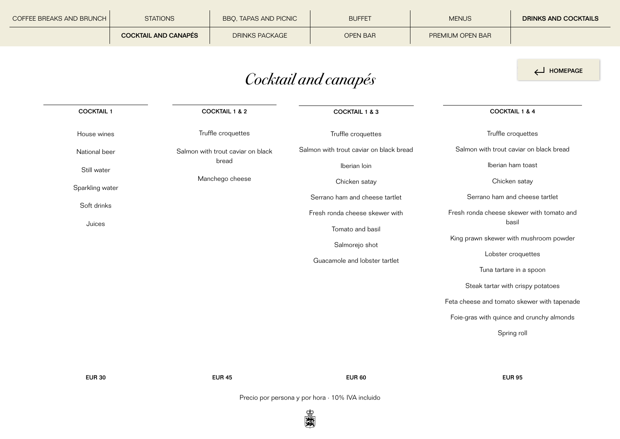<span id="page-13-0"></span>

| COFFEE BREAKS AND BRUNCH | <b>STATIONS</b>             | <b>BBO, TAPAS AND PICNIC</b> | <b>BUFFET</b>   | <b>MENUS</b>            | <b>DRINKS AND COCKTAILS</b> |
|--------------------------|-----------------------------|------------------------------|-----------------|-------------------------|-----------------------------|
|                          | <b>COCKTAIL AND CANAPÉS</b> | <b>DRINKS PACKAGE</b>        | <b>OPEN BAR</b> | <b>PREMIUM OPEN BAR</b> |                             |

# *Cocktail and canapés*

| <b>COCKTAIL 1 &amp; 2</b>         | <b>COCKTAIL 1 &amp; 3</b>               | <b>COCKTAIL 1 &amp; 4</b>                       |  |
|-----------------------------------|-----------------------------------------|-------------------------------------------------|--|
| Truffle croquettes                | Truffle croquettes                      | Truffle croquettes                              |  |
| Salmon with trout caviar on black | Salmon with trout caviar on black bread | Salmon with trout caviar on black bread         |  |
| bread                             | Iberian loin                            | Iberian ham toast                               |  |
| Manchego cheese                   | Chicken satay                           | Chicken satay                                   |  |
|                                   | Serrano ham and cheese tartlet          | Serrano ham and cheese tartlet                  |  |
|                                   | Fresh ronda cheese skewer with          | Fresh ronda cheese skewer with tomato and       |  |
|                                   | Tomato and basil                        | basil                                           |  |
|                                   |                                         | King prawn skewer with mushroom powder          |  |
|                                   |                                         | Lobster croquettes                              |  |
|                                   |                                         | Tuna tartare in a spoon                         |  |
|                                   |                                         | Steak tartar with crispy potatoes               |  |
|                                   |                                         | Feta cheese and tomato skewer with tapenade     |  |
|                                   |                                         | Foie-gras with quince and crunchy almonds       |  |
|                                   |                                         | Spring roll                                     |  |
|                                   |                                         |                                                 |  |
|                                   |                                         | Salmorejo shot<br>Guacamole and lobster tartlet |  |

EUR 60

EUR 95

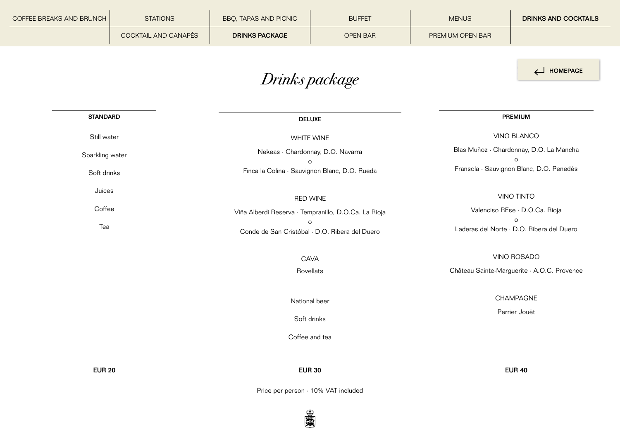<span id="page-14-0"></span>

| COFFEE BREAKS AND BRUNCH | <b>STATIONS</b>      | BBQ, TAPAS AND PICNIC                                     | <b>BUFFET</b>   | <b>MENUS</b>                                         | <b>DRINKS AND COCKTAILS</b> |  |
|--------------------------|----------------------|-----------------------------------------------------------|-----------------|------------------------------------------------------|-----------------------------|--|
|                          | COCKTAIL AND CANAPÉS | <b>DRINKS PACKAGE</b>                                     | <b>OPEN BAR</b> | PREMIUM OPEN BAR                                     |                             |  |
|                          |                      | Drinks package                                            |                 |                                                      | HOMEPAGE                    |  |
| <b>STANDARD</b>          |                      |                                                           | <b>DELUXE</b>   |                                                      | PREMIUM                     |  |
| Still water              |                      | <b>WHITE WINE</b>                                         |                 |                                                      | VINO BLANCO                 |  |
| Sparkling water          |                      | Nekeas · Chardonnay, D.O. Navarra                         |                 | Blas Muñoz · Chardonnay, D.O. La Mancha<br>$\circ$   |                             |  |
| Soft drinks              |                      | Finca la Colina · Sauvignon Blanc, D.O. Rueda             | $\circ$         | Fransola · Sauvignon Blanc, D.O. Penedés             |                             |  |
| Juices                   |                      | <b>RED WINE</b>                                           |                 | <b>VINO TINTO</b>                                    |                             |  |
| Coffee                   |                      | Viña Alberdi Reserva · Tempranillo, D.O.Ca. La Rioja      |                 | Valenciso REse · D.O.Ca. Rioja                       |                             |  |
| Tea                      |                      | $\circ$<br>Conde de San Cristóbal · D.O. Ribera del Duero |                 | $\circ$<br>Laderas del Norte · D.O. Ribera del Duero |                             |  |
|                          |                      | CAVA                                                      |                 | VINO ROSADO                                          |                             |  |
|                          |                      | Rovellats                                                 |                 | Château Sainte-Marguerite · A.O.C. Provence          |                             |  |
|                          |                      | National beer                                             |                 |                                                      | CHAMPAGNE<br>Perrier Jouët  |  |
|                          |                      |                                                           | Soft drinks     |                                                      |                             |  |
|                          |                      | Coffee and tea                                            |                 |                                                      |                             |  |
| <b>EUR 20</b>            |                      | <b>EUR 30</b>                                             |                 |                                                      | <b>EUR 40</b>               |  |

Price per person · 10% VAT included

题图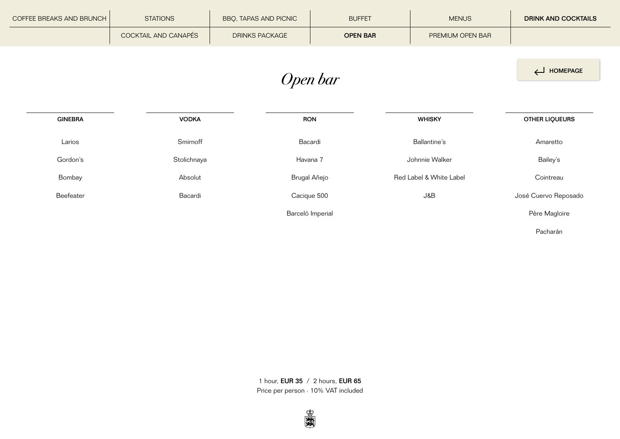<span id="page-15-0"></span>

| COFFEE BREAKS AND BRUNCH | <b>STATIONS</b>      | BBQ, TAPAS AND PICNIC | <b>BUFFET</b>    | <b>MENUS</b>            | <b>DRINK AND COCKTAILS</b> |  |  |  |
|--------------------------|----------------------|-----------------------|------------------|-------------------------|----------------------------|--|--|--|
|                          | COCKTAIL AND CANAPÉS | DRINKS PACKAGE        | <b>OPEN BAR</b>  | PREMIUM OPEN BAR        |                            |  |  |  |
|                          |                      |                       |                  |                         |                            |  |  |  |
|                          | HOMEPAGE             |                       |                  |                         |                            |  |  |  |
|                          |                      |                       |                  |                         |                            |  |  |  |
| <b>GINEBRA</b>           | <b>VODKA</b>         |                       | <b>RON</b>       |                         |                            |  |  |  |
|                          |                      |                       |                  | <b>WHISKY</b>           | OTHER LIQUEURS             |  |  |  |
| Larios                   | Smirnoff             |                       | Bacardi          | Ballantine's            | Amaretto                   |  |  |  |
| Gordon's                 | Stolichnaya          | Havana 7              |                  | Johnnie Walker          | Bailey's                   |  |  |  |
| Bombay                   | Absolut              |                       | Brugal Añejo     | Red Label & White Label | Cointreau                  |  |  |  |
| Beefeater                | Bacardi              |                       | Cacique 500      | J&B                     | José Cuervo Reposado       |  |  |  |
|                          |                      |                       | Barceló Imperial |                         | Père Magloire              |  |  |  |
|                          |                      |                       |                  |                         | Pacharán                   |  |  |  |

1 hour, EUR 35 / 2 hours, EUR 65 Price per person · 10% VAT included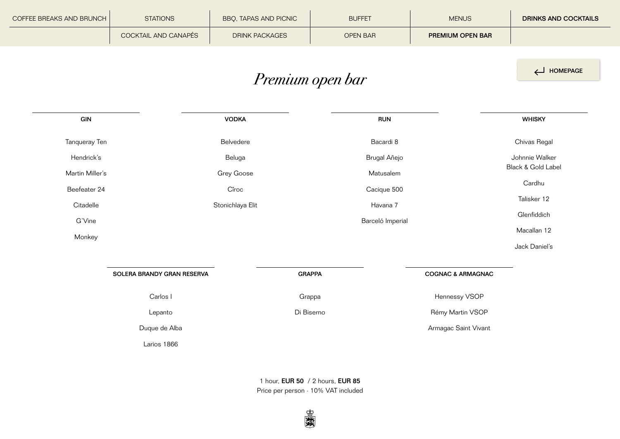<span id="page-16-0"></span>

| <b>COFFEE BREAKS AND BRUNCH  </b> | <b>STATIONS</b>      | BBQ, TAPAS AND PICNIC | <b>BUFFET</b>   | <b>MENUS</b>            | <b>DRINKS AND COCKTAILS</b> |
|-----------------------------------|----------------------|-----------------------|-----------------|-------------------------|-----------------------------|
|                                   | COCKTAIL AND CANAPÉS | <b>DRINK PACKAGES</b> | <b>OPEN BAR</b> | <b>PREMIUM OPEN BAR</b> |                             |

HOMEPAGE

# *Premium open bar*

| GIN             |                            | <b>VODKA</b>      | <b>RUN</b>       |                              | <b>WHISKY</b>      |
|-----------------|----------------------------|-------------------|------------------|------------------------------|--------------------|
| Tanqueray Ten   |                            | Belvedere         | Bacardi 8        |                              | Chivas Regal       |
| Hendrick's      |                            | Beluga            | Brugal Añejo     |                              | Johnnie Walker     |
| Martin Miller's |                            | <b>Grey Goose</b> | Matusalem        |                              | Black & Gold Label |
| Beefeater 24    |                            | Cîroc             | Cacique 500      |                              | Cardhu             |
| Citadelle       |                            | Stonichlaya Elit  | Havana 7         |                              | Talisker 12        |
| G'Vine          |                            |                   | Barceló Imperial |                              | Glenfiddich        |
| Monkey          |                            |                   |                  |                              | Macallan 12        |
|                 |                            |                   |                  |                              | Jack Daniel's      |
|                 |                            |                   |                  |                              |                    |
|                 | SOLERA BRANDY GRAN RESERVA | <b>GRAPPA</b>     |                  | <b>COGNAC &amp; ARMAGNAC</b> |                    |
|                 | Carlos I                   | Grappa            |                  | Hennessy VSOP                |                    |
|                 | Lepanto                    | Di Biserno        |                  | Rémy Martin VSOP             |                    |
|                 | Duque de Alba              |                   |                  | Armagac Saint Vivant         |                    |
|                 | Larios 1866                |                   |                  |                              |                    |

1 hour, EUR 50 / 2 hours, EUR 85 Price per person · 10% VAT included